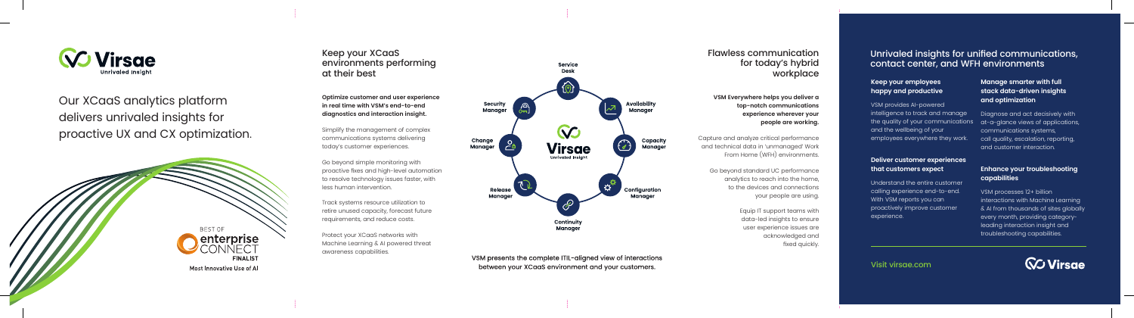

Our XCaaS analytics platform delivers unrivaled insights for proactive UX and CX optimization .



Keep your XCaaS environments performing at their best

**Optimize customer and user experience in real time with VSM's end-to-end diagnostics and interaction insight.**

Simplify the management of complex communications systems delivering today's customer experiences.

Go beyond simple monitoring with proactive fixes and high-level automation to resolve technology issues faster, with less human intervention.

Track systems resource utilization to retire unused capacity, forecast future requirements, and reduce costs.

Protect your XCaaS networks with Machine Learning & AI powered threat awareness capabilities.



VSM presents the complete ITIL-aligned view of interactions between your XCaaS environment and your customers.

## Flawless communication for today's hybrid workplace

**VSM Everywhere helps you deliver a top-notch communications experience wherever your people are working.**

Capture and analyze critical performance and technical data in 'unmanaged' Work From Home (WFH) environments.

Go beyond standard UC performance analytics to reach into the home, to the devices and connections your people are using.

> Equip IT support teams with data-led insights to ensure user experience issues are acknowledged and fixed quickly.

# Unrivaled insights for unified communications, contact center, and WFH environments

#### **Keep your employees happy and productive**

VSM provides AI-powered intelligence to track and manage the quality of your communications and the wellbeing of your employees everywhere they work.

#### **Deliver customer experiences that customers expect**

Understand the entire customer calling experience end-to-end. With VSM reports you can proactively improve customer experience.

### **Manage smarter with full stack data-driven insights and optimization**

Diagnose and act decisively with at-a-glance views of applications, communications systems, call quality, escalation, reporting, and customer interaction.

#### **Enhance your troubleshooting capabilities**

VSM processes 12+ billion interactions with Machine Learning & AI from thousands of sites globally every month, providing categoryleading interaction insight and troubleshooting capabilities.

Visit virsae.com